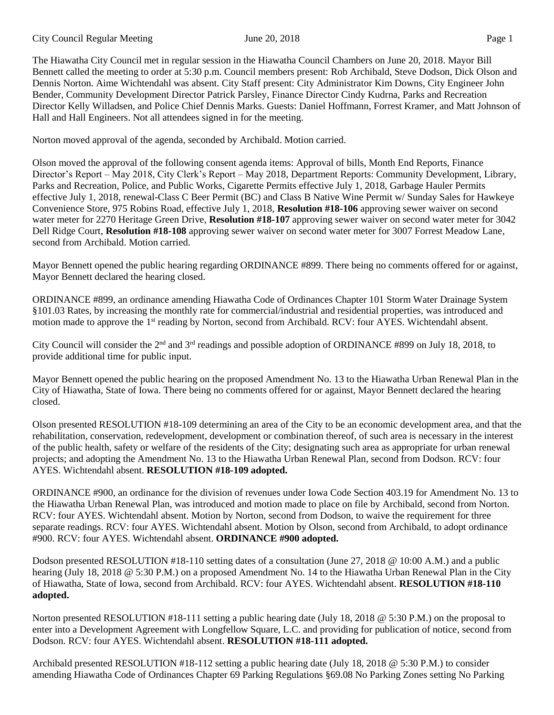City Council Regular Meeting June 20, 2018 Page 1

The Hiawatha City Council met in regular session in the Hiawatha Council Chambers on June 20, 2018. Mayor Bill Bennett called the meeting to order at 5:30 p.m. Council members present: Rob Archibald, Steve Dodson, Dick Olson and Dennis Norton. Aime Wichtendahl was absent. City Staff present: City Administrator Kim Downs, City Engineer John Bender, Community Development Director Patrick Parsley, Finance Director Cindy Kudrna, Parks and Recreation Director Kelly Willadsen, and Police Chief Dennis Marks. Guests: Daniel Hoffmann, Forrest Kramer, and Matt Johnson of Hall and Hall Engineers. Not all attendees signed in for the meeting.

Norton moved approval of the agenda, seconded by Archibald. Motion carried.

Olson moved the approval of the following consent agenda items: Approval of bills, Month End Reports, Finance Director's Report – May 2018, City Clerk's Report – May 2018, Department Reports: Community Development, Library, Parks and Recreation, Police, and Public Works, Cigarette Permits effective July 1, 2018, Garbage Hauler Permits effective July 1, 2018, renewal-Class C Beer Permit (BC) and Class B Native Wine Permit w/ Sunday Sales for Hawkeye Convenience Store, 975 Robins Road, effective July 1, 2018, **Resolution #18-106** approving sewer waiver on second water meter for 2270 Heritage Green Drive, **Resolution #18-107** approving sewer waiver on second water meter for 3042 Dell Ridge Court, **Resolution #18-108** approving sewer waiver on second water meter for 3007 Forrest Meadow Lane, second from Archibald. Motion carried.

Mayor Bennett opened the public hearing regarding ORDINANCE #899. There being no comments offered for or against, Mayor Bennett declared the hearing closed.

ORDINANCE #899, an ordinance amending Hiawatha Code of Ordinances Chapter 101 Storm Water Drainage System §101.03 Rates, by increasing the monthly rate for commercial/industrial and residential properties, was introduced and motion made to approve the 1<sup>st</sup> reading by Norton, second from Archibald. RCV: four AYES. Wichtendahl absent.

City Council will consider the  $2<sup>nd</sup>$  and  $3<sup>rd</sup>$  readings and possible adoption of ORDINANCE #899 on July 18, 2018, to provide additional time for public input.

Mayor Bennett opened the public hearing on the proposed Amendment No. 13 to the Hiawatha Urban Renewal Plan in the City of Hiawatha, State of Iowa. There being no comments offered for or against, Mayor Bennett declared the hearing closed.

Olson presented RESOLUTION #18-109 determining an area of the City to be an economic development area, and that the rehabilitation, conservation, redevelopment, development or combination thereof, of such area is necessary in the interest of the public health, safety or welfare of the residents of the City; designating such area as appropriate for urban renewal projects; and adopting the Amendment No. 13 to the Hiawatha Urban Renewal Plan, second from Dodson. RCV: four AYES. Wichtendahl absent. **RESOLUTION #18-109 adopted.** 

ORDINANCE #900, an ordinance for the division of revenues under Iowa Code Section 403.19 for Amendment No. 13 to the Hiawatha Urban Renewal Plan, was introduced and motion made to place on file by Archibald, second from Norton. RCV: four AYES. Wichtendahl absent. Motion by Norton, second from Dodson, to waive the requirement for three separate readings. RCV: four AYES. Wichtendahl absent. Motion by Olson, second from Archibald, to adopt ordinance #900. RCV: four AYES. Wichtendahl absent. **ORDINANCE #900 adopted.**

Dodson presented RESOLUTION #18-110 setting dates of a consultation (June 27, 2018 @ 10:00 A.M.) and a public hearing (July 18, 2018 @ 5:30 P.M.) on a proposed Amendment No. 14 to the Hiawatha Urban Renewal Plan in the City of Hiawatha, State of Iowa, second from Archibald. RCV: four AYES. Wichtendahl absent. **RESOLUTION #18-110 adopted.** 

Norton presented RESOLUTION #18-111 setting a public hearing date (July 18, 2018 @ 5:30 P.M.) on the proposal to enter into a Development Agreement with Longfellow Square, L.C. and providing for publication of notice, second from Dodson. RCV: four AYES. Wichtendahl absent. **RESOLUTION #18-111 adopted.** 

Archibald presented RESOLUTION #18-112 setting a public hearing date (July 18, 2018 @ 5:30 P.M.) to consider amending Hiawatha Code of Ordinances Chapter 69 Parking Regulations §69.08 No Parking Zones setting No Parking